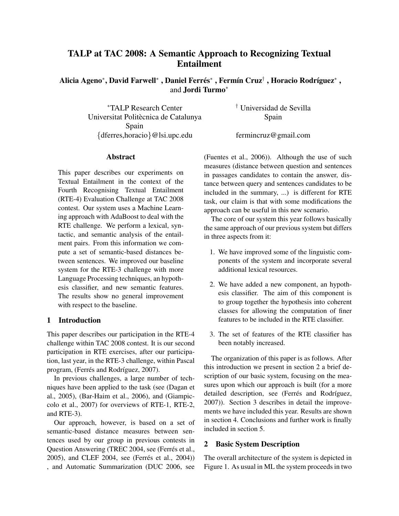# TALP at TAC 2008: A Semantic Approach to Recognizing Textual Entailment

Alicia Ageno\*, David Farwell\* , Daniel Ferrés\* , Fermín Cruz† , Horacio Rodríguez\* , and Jordi Turmo<sup>∗</sup>

<sup>∗</sup>TALP Research Center † Universidad de Sevilla Universitat Politècnica de Catalunya Spain Spain {dferres,horacio}@lsi.upc.edu fermincruz@gmail.com

## Abstract

This paper describes our experiments on Textual Entailment in the context of the Fourth Recognising Textual Entailment (RTE-4) Evaluation Challenge at TAC 2008 contest. Our system uses a Machine Learning approach with AdaBoost to deal with the RTE challenge. We perform a lexical, syntactic, and semantic analysis of the entailment pairs. From this information we compute a set of semantic-based distances between sentences. We improved our baseline system for the RTE-3 challenge with more Language Processing techniques, an hypothesis classifier, and new semantic features. The results show no general improvement with respect to the baseline.

## 1 Introduction

This paper describes our participation in the RTE-4 challenge within TAC 2008 contest. It is our second participation in RTE exercises, after our participation, last year, in the RTE-3 challenge, within Pascal program, (Ferrés and Rodríguez, 2007).

In previous challenges, a large number of techniques have been applied to the task (see (Dagan et al., 2005), (Bar-Haim et al., 2006), and (Giampiccolo et al., 2007) for overviews of RTE-1, RTE-2, and RTE-3).

Our approach, however, is based on a set of semantic-based distance measures between sentences used by our group in previous contests in Question Answering (TREC 2004, see (Ferrés et al., 2005), and CLEF 2004, see (Ferrés et al., 2004)) , and Automatic Summarization (DUC 2006, see

(Fuentes et al., 2006)). Although the use of such measures (distance between question and sentences in passages candidates to contain the answer, distance between query and sentences candidates to be included in the summary, ...) is different for RTE task, our claim is that with some modifications the approach can be useful in this new scenario.

The core of our system this year follows basically the same approach of our previous system but differs in three aspects from it:

- 1. We have improved some of the linguistic components of the system and incorporate several additional lexical resources.
- 2. We have added a new component, an hypothesis classifier. The aim of this component is to group together the hypothesis into coherent classes for allowing the computation of finer features to be included in the RTE classifier.
- 3. The set of features of the RTE classifier has been notably increased.

The organization of this paper is as follows. After this introduction we present in section 2 a brief description of our basic system, focusing on the measures upon which our approach is built (for a more detailed description, see (Ferrés and Rodríguez, 2007)). Section 3 describes in detail the improvements we have included this year. Results are shown in section 4. Conclusions and further work is finally included in section 5.

## 2 Basic System Description

The overall architecture of the system is depicted in Figure 1. As usual in ML the system proceeds in two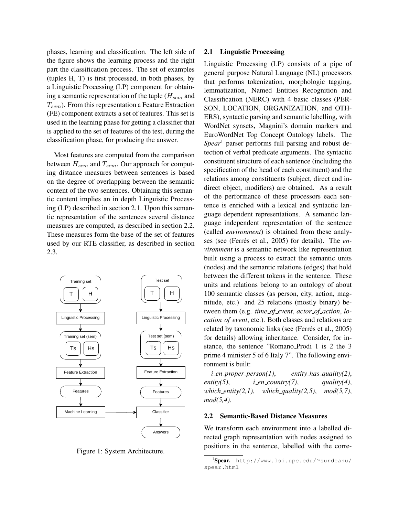phases, learning and classification. The left side of the figure shows the learning process and the right part the classification process. The set of examples (tuples H, T) is first processed, in both phases, by a Linguistic Processing (LP) component for obtaining a semantic representation of the tuple ( $H_{sem}$  and  $T_{sem}$ ). From this representation a Feature Extraction (FE) component extracts a set of features. This set is used in the learning phase for getting a classifier that is applied to the set of features of the test, during the classification phase, for producing the answer.

Most features are computed from the comparison between  $H_{sem}$  and  $T_{sem}$ . Our approach for computing distance measures between sentences is based on the degree of overlapping between the semantic content of the two sentences. Obtaining this semantic content implies an in depth Linguistic Processing (LP) described in section 2.1. Upon this semantic representation of the sentences several distance measures are computed, as described in section 2.2. These measures form the base of the set of features used by our RTE classifier, as described in section 2.3.



Figure 1: System Architecture.

#### 2.1 Linguistic Processing

Linguistic Processing (LP) consists of a pipe of general purpose Natural Language (NL) processors that performs tokenization, morphologic tagging, lemmatization, Named Entities Recognition and Classification (NERC) with 4 basic classes (PER-SON, LOCATION, ORGANIZATION, and OTH-ERS), syntactic parsing and semantic labelling, with WordNet synsets, Magnini's domain markers and EuroWordNet Top Concept Ontology labels. The *Spear*<sup>1</sup> parser performs full parsing and robust detection of verbal predicate arguments. The syntactic constituent structure of each sentence (including the specification of the head of each constituent) and the relations among constituents (subject, direct and indirect object, modifiers) are obtained. As a result of the performance of these processors each sentence is enriched with a lexical and syntactic language dependent representations. A semantic language independent representation of the sentence (called *environment*) is obtained from these analyses (see (Ferrés et al., 2005) for details). The *environment* is a semantic network like representation built using a process to extract the semantic units (nodes) and the semantic relations (edges) that hold between the different tokens in the sentence. These units and relations belong to an ontology of about 100 semantic classes (as person, city, action, magnitude, etc.) and 25 relations (mostly binary) between them (e.g. *time of event*, *actor of action*, *location of event*, etc.). Both classes and relations are related by taxonomic links (see (Ferrés et al., 2005) for details) allowing inheritance. Consider, for instance, the sentence "Romano Prodi 1 is 2 the 3 prime 4 minister 5 of 6 Italy 7". The following environment is built:

*i en proper person(1)*, *entity has quality(2)*, *entity*(5), *i\_en\_country*(7), *quality*(4), *which entity(2,1)*, *which quality(2,5)*, *mod(5,7)*, *mod(5,4)*.

#### 2.2 Semantic-Based Distance Measures

We transform each environment into a labelled directed graph representation with nodes assigned to positions in the sentence, labelled with the corre-

<sup>1</sup> Spear. http://www.lsi.upc.edu/∼surdeanu/ spear.html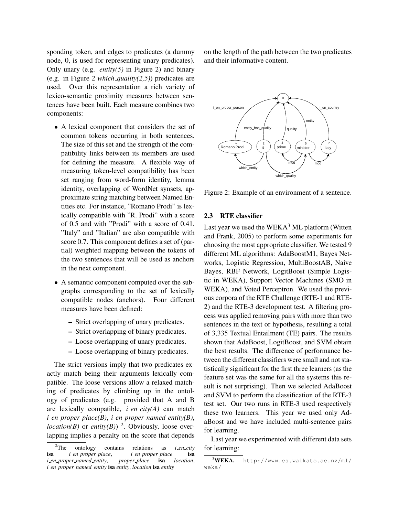sponding token, and edges to predicates (a dummy node, 0, is used for representing unary predicates). Only unary (e.g. *entity(5)* in Figure 2) and binary (e.g. in Figure 2 *which quality(2,5)*) predicates are used. Over this representation a rich variety of lexico-semantic proximity measures between sentences have been built. Each measure combines two components:

- A lexical component that considers the set of common tokens occurring in both sentences. The size of this set and the strength of the compatibility links between its members are used for defining the measure. A flexible way of measuring token-level compatibility has been set ranging from word-form identity, lemma identity, overlapping of WordNet synsets, approximate string matching between Named Entities etc. For instance, "Romano Prodi" is lexically compatible with "R. Prodi" with a score of 0.5 and with "Prodi" with a score of 0.41. "Italy" and "Italian" are also compatible with score 0.7. This component defines a set of (partial) weighted mapping between the tokens of the two sentences that will be used as anchors in the next component.
- A semantic component computed over the subgraphs corresponding to the set of lexically compatible nodes (anchors). Four different measures have been defined:
	- Strict overlapping of unary predicates.
	- Strict overlapping of binary predicates.
	- Loose overlapping of unary predicates.
	- Loose overlapping of binary predicates.

The strict versions imply that two predicates exactly match being their arguments lexically compatible. The loose versions allow a relaxed matching of predicates by climbing up in the ontology of predicates (e.g. provided that A and B are lexically compatible,  $i$  *en*  $\text{city}(A)$  can match *i en proper place(B)*, *i en proper named entity(B)*, *location(B)* or *entity(B))* <sup>2</sup>. Obviously, loose overlapping implies a penalty on the score that depends on the length of the path between the two predicates and their informative content.



Figure 2: Example of an environment of a sentence.

## 2.3 RTE classifier

Last year we used the  $WEXA<sup>3</sup>ML platform$  (Witten and Frank, 2005) to perform some experiments for choosing the most appropriate classifier. We tested 9 different ML algorithms: AdaBoostM1, Bayes Networks, Logistic Regression, MultiBoostAB, Naive Bayes, RBF Network, LogitBoost (Simple Logistic in WEKA), Support Vector Machines (SMO in WEKA), and Voted Perceptron. We used the previous corpora of the RTE Challenge (RTE-1 and RTE-2) and the RTE-3 development test. A filtering process was applied removing pairs with more than two sentences in the text or hypothesis, resulting a total of 3,335 Textual Entailment (TE) pairs. The results shown that AdaBoost, LogitBoost, and SVM obtain the best results. The difference of performance between the different classifiers were small and not statistically significant for the first three learners (as the feature set was the same for all the systems this result is not surprising). Then we selected AdaBoost and SVM to perform the classification of the RTE-3 test set. Our two runs in RTE-3 used respectively these two learners. This year we used only AdaBoost and we have included multi-sentence pairs for learning.

Last year we experimented with different data sets for learning:

<sup>&</sup>lt;sup>2</sup>The ontology contains relations as *i\_en\_city*<br>*i\_en\_proper\_place*, *i\_en\_proper\_place* isa isa *i en proper place*, *i en proper place* isa *i en proper named entity*, *proper place* isa *location*, *i en proper named entity* isa *entity*, *location* isa *entity*

<sup>3</sup>WEKA. http://www.cs.waikato.ac.nz/ml/ weka/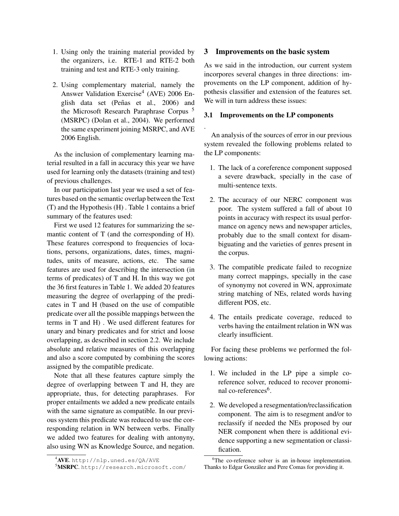- 1. Using only the training material provided by the organizers, i.e. RTE-1 and RTE-2 both training and test and RTE-3 only training.
- 2. Using complementary material, namely the Answer Validation Exercise<sup>4</sup> (AVE) 2006 English data set (Peñas et al., 2006) and the Microsoft Research Paraphrase Corpus<sup>5</sup> (MSRPC) (Dolan et al., 2004). We performed the same experiment joining MSRPC, and AVE 2006 English.

As the inclusion of complementary learning material resulted in a fall in accuracy this year we have used for learning only the datasets (training and test) of previous challenges.

In our participation last year we used a set of features based on the semantic overlap between the Text (T) and the Hypothesis (H) . Table 1 contains a brief summary of the features used:

First we used 12 features for summarizing the semantic content of T (and the corresponding of H). These features correspond to frequencies of locations, persons, organizations, dates, times, magnitudes, units of measure, actions, etc. The same features are used for describing the intersection (in terms of predicates) of T and H. In this way we got the 36 first features in Table 1. We added 20 features measuring the degree of overlapping of the predicates in T and H (based on the use of compatible predicate over all the possible mappings between the terms in T and H) . We used different features for unary and binary predicates and for strict and loose overlapping, as described in section 2.2. We include absolute and relative measures of this overlapping and also a score computed by combining the scores assigned by the compatible predicate.

Note that all these features capture simply the degree of overlapping between T and H, they are appropriate, thus, for detecting paraphrases. For proper entailments we added a new predicate entails with the same signature as compatible. In our previous system this predicate was reduced to use the corresponding relation in WN between verbs. Finally we added two features for dealing with antonyny, also using WN as Knowledge Source, and negation.

#### 3 Improvements on the basic system

As we said in the introduction, our current system incorpores several changes in three directions: improvements on the LP component, addition of hypothesis classifier and extension of the features set. We will in turn address these issues:

#### 3.1 Improvements on the LP components

.

An analysis of the sources of error in our previous system revealed the following problems related to the LP components:

- 1. The lack of a coreference component supposed a severe drawback, specially in the case of multi-sentence texts.
- 2. The accuracy of our NERC component was poor. The system suffered a fall of about 10 points in accuracy with respect its usual performance on agency news and newspaper articles, probably due to the small context for disambiguating and the varieties of genres present in the corpus.
- 3. The compatible predicate failed to recognize many correct mappings, specially in the case of synonymy not covered in WN, approximate string matching of NEs, related words having different POS, etc.
- 4. The entails predicate coverage, reduced to verbs having the entailment relation in WN was clearly insufficient.

For facing these problems we performed the following actions:

- 1. We included in the LP pipe a simple coreference solver, reduced to recover pronominal co-references<sup>6</sup>.
- 2. We developed a resegmentation/reclassification component. The aim is to resegment and/or to reclassify if needed the NEs proposed by our NER component when there is additional evidence supporting a new segmentation or classification.

 $4$ AVE.http://nlp.uned.es/QA/AVE

<sup>5</sup>MSRPC. http://research.microsoft.com/

<sup>6</sup>The co-reference solver is an in-house implementation. Thanks to Edgar González and Pere Comas for providing it.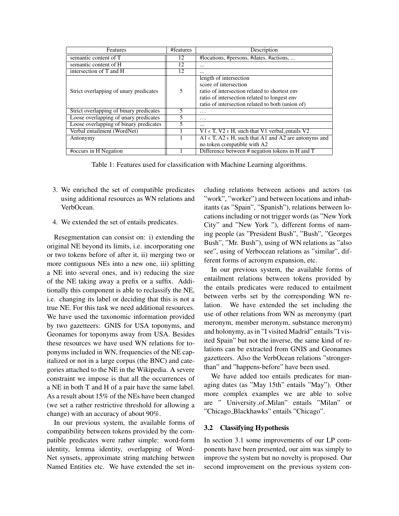| Features                                | #features | Description                                                                                                                                                                                          |  |
|-----------------------------------------|-----------|------------------------------------------------------------------------------------------------------------------------------------------------------------------------------------------------------|--|
| semantic content of T                   | 12        | #locations, #persons, #dates, #actions,                                                                                                                                                              |  |
| semantic content of H                   | 12        | $\cdots$                                                                                                                                                                                             |  |
| intersection of T and H                 | 12        | $\cdots$                                                                                                                                                                                             |  |
| Strict overlapping of unary predicates  | 5         | length of intersection<br>score of intersection<br>ratio of intersection related to shortest env<br>ratio of intersection related to longest env<br>ratio of intersection related to both (union of) |  |
| Strict overlapping of binary predicates | 5.        | $\cdot$                                                                                                                                                                                              |  |
| Loose overlapping of unary predicates   |           | $\cdots$                                                                                                                                                                                             |  |
| Loose overlapping of binary predicates  | 5         | $\cdots$                                                                                                                                                                                             |  |
| Verbal entailment (WordNet)             |           | V1 $\epsilon$ T, V2 $\epsilon$ H, such that V1 verbal_entails V2                                                                                                                                     |  |
| Antonymy                                |           | A1 $\epsilon$ T, A2 $\epsilon$ H, such that A1 and A2 are antonyms and<br>no token compatible with A2                                                                                                |  |
| #occurs in H Negation                   |           | Difference between # negation tokens in H and T                                                                                                                                                      |  |

Table 1: Features used for classification with Machine Learning algorithms.

- 3. We enriched the set of compatible predicates using additional resources as WN relations and VerbOcean.
- 4. We extended the set of entails predicates.

Resegmentation can consist on: i) extending the original NE beyond its limits, i.e. incorporating one or two tokens before of after it, ii) merging two or more contiguous NEs into a new one, iii) splitting a NE into several ones, and iv) reducing the size of the NE taking away a prefix or a suffix. Additionally this component is able to reclassify the NE, i.e. changing its label or deciding that this is not a true NE. For this task we need additional resources. We have used the taxonomic information provided by two gazetteers: GNIS for USA toponyms, and Geonames for toponyms away from USA. Besides these resources we have used WN relations for toponyms included in WN, frequencies of the NE capitalized or not in a large corpus (the BNC) and categories attached to the NE in the Wikipedia. A severe constraint we impose is that all the occurrences of a NE in both T and H of a pair have the same label. As a result about 15% of the NEs have been changed (we set a rather restrictive threshold for allowing a change) with an accuracy of about 90%.

In our previous system, the available forms of compatibility between tokens provided by the compatible predicates were rather simple: word-form identity, lemma identity, overlapping of Word-Net synsets, approximate string matching between Named Entities etc. We have extended the set including relations between actions and actors (as "work", "worker") and between locations and inhabitants (as "Spain", "Spanish"), relations between locations including or not trigger words (as "New York City" and "New York "), different forms of naming people (as "President Bush", "Bush", "Georges Bush", "Mr. Bush"), using of WN relations as "also see", using of Verbocean relations as "similar", different forms of acronym expansion, etc.

In our previous system, the available forms of entailment relations between tokens provided by the entails predicates were reduced to entailment between verbs set by the corresponding WN relation. We have extended the set including the use of other relations from WN as meronymy (part meronym, member meronym, substance meronym) and holonymy, as in "I visited Madrid" entails "I visited Spain" but not the inverse, the same kind of relations can be extracted from GNIS and Geonames gazetteers. Also the VerbOcean relations "strongerthan" and "happens-before" have been used.

We have added too entails predicates for managing dates (as "May 15th" entails "May"). Other more complex examples we are able to solve are " University of Milan" entails "Milan" or "Chicago Blackhawks" entails "Chicago".

# 3.2 Classifying Hypothesis

In section 3.1 some improvements of our LP components have been presented, our aim was simply to improve the system but no novelty is proposed. Our second improvement on the previous system con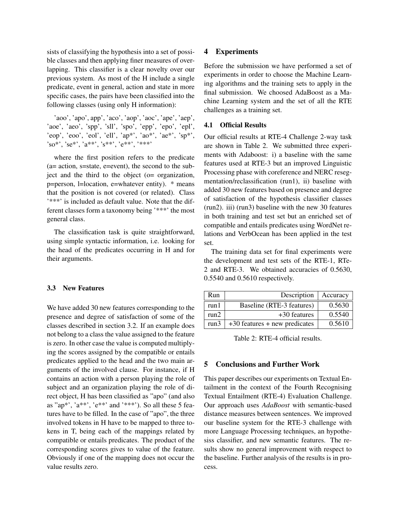sists of classifying the hypothesis into a set of possible classes and then applying finer measures of overlapping. This classifier is a clear novelty over our previous system. As most of the H include a single predicate, event in general, action and state in more specific cases, the pairs have been classified into the following classes (using only H information):

'aoo', 'apo', app', 'aco', 'aop', 'aoc', 'ape', 'aep', 'aoe', 'aeo', 'spp', 'sll', 'spo', 'epp', 'epo', 'epl', 'eop', 'eoo', 'eol', 'ell', 'ap\*', 'ao\*', 'ae\*', 'sp\*', 'so\*', 'se\*', 'a\*\*', 's\*\*', 'e\*\*', '\*\*\*'

where the first position refers to the predicate (a= action, s=state, e=event), the second to the subject and the third to the object (o= organization, p=person, l=location, e=whatever entity). \* means that the position is not covered (or related). Class '\*\*\*' is included as default value. Note that the different classes form a taxonomy being '\*\*\*' the most general class.

The classification task is quite straightforward, using simple syntactic information, i.e. looking for the head of the predicates occurring in H and for their arguments.

## 3.3 New Features

We have added 30 new features corresponding to the presence and degree of satisfaction of some of the classes described in section 3.2. If an example does not belong to a class the value assigned to the feature is zero. In other case the value is computed multiplying the scores assigned by the compatible or entails predicates applied to the head and the two main arguments of the involved clause. For instance, if H contains an action with a person playing the role of subject and an organization playing the role of direct object, H has been classified as "apo" (and also as "ap\*', 'a\*\*', 'e\*\*' and '\*\*\*'). So all these  $5$  features have to be filled. In the case of "apo", the three involved tokens in H have to be mapped to three tokens in T, being each of the mappings related by compatible or entails predicates. The product of the corresponding scores gives to value of the feature. Obviously if one of the mapping does not occur the value results zero.

#### 4 Experiments

Before the submission we have performed a set of experiments in order to choose the Machine Learning algorithms and the training sets to apply in the final submission. We choosed AdaBoost as a Machine Learning system and the set of all the RTE challenges as a training set.

#### 4.1 Official Results

Our official results at RTE-4 Challenge 2-way task are shown in Table 2. We submitted three experiments with Adaboost: i) a baseline with the same features used at RTE-3 but an improved Linguistic Processing phase with coreference and NERC resegmentation/reclassification (run1), ii) baseline with added 30 new features based on presence and degree of satisfaction of the hypothesis classifier classes (run2). iii) (run3) baseline with the new 30 features in both training and test set but an enriched set of compatible and entails predicates using WordNet relations and VerbOcean has been applied in the test set.

The training data set for final experiments were the development and test sets of the RTE-1, RTe-2 and RTE-3. We obtained accuracies of 0.5630, 0.5540 and 0.5610 respectively.

| Run  | Description   Accuracy          |        |
|------|---------------------------------|--------|
| run1 | Baseline (RTE-3 features)       | 0.5630 |
| run2 | $+30$ features                  | 0.5540 |
| run3 | $+30$ features + new predicates | 0.5610 |

Table 2: RTE-4 official results.

## 5 Conclusions and Further Work

This paper describes our experiments on Textual Entailment in the context of the Fourth Recognising Textual Entailment (RTE-4) Evaluation Challenge. Our approach uses *AdaBoost* with semantic-based distance measures between sentences. We improved our baseline system for the RTE-3 challenge with more Language Processing techniques, an hypothesiss classifier, and new semantic features. The results show no general improvement with respect to the baseline. Further analysis of the results is in process.